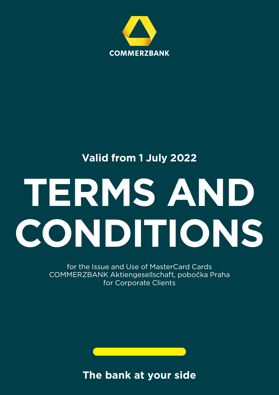

# **Valid from 1 July 2022**

# **TERMS AND CONDITIONS**

for the Issue and Use of MasterCard Cards COMMERZBANK Aktiengesellschaft, pobočka Praha for Corporate Clients

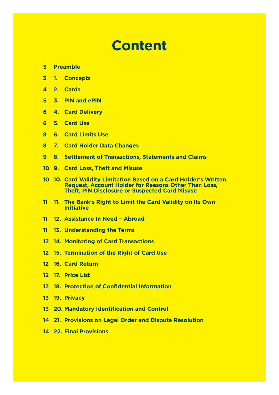# **Content**

- **Preamble**
- **1. Concepts**
- **2. Cards**
- **3. PIN and ePIN**
- **4. Card Delivery**
- **5. Card Use**
- **6. Card Limits Use**
- **7. Card Holder Data Changes**
- **8. Settlement of Transactions, Statements and Claims**
- **9. Card Loss, Theft and Misuse**
- **10. Card Validity Limitation Based on a Card Holder's Written Request, Account Holder for Reasons Other Than Loss, Theft, PIN Disclosure or Suspected Card Misuse**
- **11. The Bank's Right to Limit the Card Validity on Its Own Initiative**
- **12. Assistance In Need Abroad**
- **13. Understanding the Terms**
- **14. Monitoring of Card Transactions**
- **15. Termination of the Right of Card Use**
- **16. Card Return**
- **17. Price List**
- **18. Protection of Confidential Information**
- **19. Privacy**
- **20. Mandatory Identification and Control**
- **21. Provisions on Legal Order and Dispute Resolution**
- **22. Final Provisions**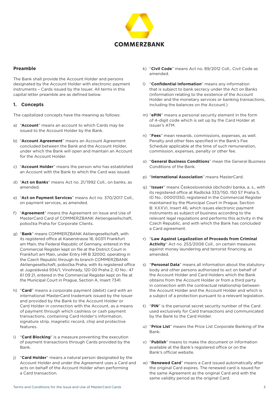

# **Preamble**

The Bank shall provide the Account Holder and persons designated by the Account Holder with electronic payment instruments – Cards issued by the Issuer. All terms in this capital letter preamble are as defined below.

#### **1. Concepts**

The capitalized concepts have the meaning as follows:

- a) "**Account**" means an account to which Cards may be issued to the Account Holder by the Bank.
- b) "**Account Agreement**" means an Account Agreement concluded between the Bank and the Account Holder, under which the Bank will open and maintain an Account for the Account Holder.
- c) "**Account Holder**" means the person who has established an Account with the Bank to which the Card was issued.
- d) "**Act on Banks**" means Act no. 21/1992 Coll., on banks, as amended.
- e) "**Act on Payment Services**" means Act no. 370/2017 Coll., on payment services, as amended.
- f) "**Agreement**" means the Agreement on Issue and Use of MasterCard Card of COMMERZBANK Aktiengesellschaft, pobočka Praha for Corporate Clients.
- g) "**Bank**" means COMMERZBANK Aktiengesellschaft, with its registered office at Kaiserstrasse 16, 60311 Frankfurt am Main, the Federal Republic of Germany, entered in the Commercial Register kept on file at the District Court in Frankfurt am Main, under Entry HR B 32000, operating in the Czech Republic through its branch COMMERZBANK Aktiengesellschaft, pobočka Praha, with its registered office at Jugoslávská 934/1, Vinohrady, 120 00 Praha 2, ID No.: 47 61 09 21, entered in the Commercial Register kept on file at the Municipal Court in Prague, Section A, Insert 7341.
- h) "**Card**" means a corporate payment (debit) card with an international MasterCard trademark issued by the Issuer and provided by the Bank to the Account Holder or Card Holder in connection with the Account, as a means of payment through which cashless or cash payment transactions, containing Card Holder's information, signature strip, magnetic record, chip and protective features.
- i) "**Card Blocking**" is a measure preventing the execution of payment transactions through Cards provided by the Bank.
- j) "**Card Holder**" means a natural person designated by the Account Holder and under the Agreement uses a Card and acts on behalf of the Account Holder when performing a Card transaction.
- k) "**Civil Code**" means Act no. 89/2012 Coll., Civil Code as amended.
- l) "**Confidential Information**" means any information that is subject to bank secrecy under the Act on Banks (information relating to the existence of the Account Holder and the monetary services or banking transactions, including the balances on the Account.)
- m) "**ePIN**" means a personal security element in the form of 4-digit code which is set up by the Card Holder at Issuer's ATM.
- n) "**Fees**" mean rewards, commissions, expenses, as well. Penalty and other fees specified in the Bank's Fee Schedule applicable at the time of such remuneration, commission, expenses, penalty or other fee.
- o) "**General Business Conditions**" mean the General Business Conditions of the Bank.
- p) "**International Association**" means MasterCard.
- q) "**Issuer**" means Československá obchodní banka, a. s., with its registered office at Radlická 333/150, 150 57 Praha 5, ID No.: 00001350, registered in the Commercial Register maintained by the Municipal Court in Prague, Section B: XXXVI, Insert 46, which issues electronic payment instruments as subject of business according to the relevant legal regulations and performs this activity in the Czech Republic, and with which the Bank has concluded a Card agreement.
- r) "**Law Against Legalization of Proceeds from Criminal Activity**" Act no. 253/2008 Coll., on certain measures against money laundering and terrorist financing, as amended.
- s) "**Personal Data**" means all information about the statutory body and other persons authorized to act on behalf of the Account Holder and Card Holders which the Bank obtains from the Account Holder or from a third party in connection with the contractual relationship between the Account Holder and the Account Holder and which is a subject of a protection pursuant to a relevant legislation.
- t) "**PIN**" is the personal secret security number of the Card used exclusively for Card transactions and communicated by the Bank to the Card Holder.
- u) "**Price List**" means the Price List Corporate Banking of the Bank.
- v) "**Publish**" means to make the document or information available at the Bank's registered office or on the Bank's official website.
- w) "**Renewed Card**" means a Card issued automatically after the original Card expires. The renewed card is issued for the same Agreement as the original Card and with the same validity period as the original Card.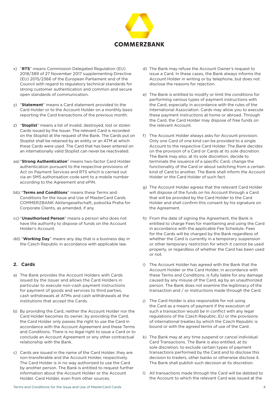

- x) "**RTS**" means Commission Delegated Regulation (EU) 2018/389 of 27 November 2017 supplementing Directive (EU) 2015/2366 of the European Parliament and of the Council with regard to regulatory technical standards for strong customer authentication and common and secure open standards of communication.
- y) "**Statement**" means a Card statement provided to the Card Holder or to the Account Holder on a monthly basis reporting the Card transactions of the previous month.
- z) "**Stoplist**" means a list of invalid, destroyed, lost or stolen Cards issued by the Issuer. The relevant Card is recorded on the Stoplist at the request of the Bank. The Cards put on Stoplist shall be retained by an entity or an ATM at which these Cards were used. The Card that has been entered on an internationally valid Stoplist can never be reactivated.
- aa) "**Strong Authentication**" means two-factor Card Holder authentication pursuant to the respective provisions of Act on Payment Services and RTS which is carried out via an SMS authorisation code sent to a mobile number according to the Agreement and ePIN.
- bb) "**Terms and Conditions**" means these Terms and Conditions for the Issue and Use of MasterCard Cards COMMERZBANK Aktiengesellschaft, pobočka Praha for Corporate Clients, as amended, if any.
- cc) "**Unauthorised Person**" means a person who does not have the authority to dispose of funds on the Account Holder's Account.
- dd) "**Working Day**" means any day that is a business day in the Czech Republic in accordance with applicable law.

# **2. Cards**

- a) The Bank provides the Account Holders with Cards issued by the Issuer and allows the Card Holders in particular to execute non-cash payment instructions for payment of goods and services to third parties, cash withdrawals at ATMs and cash withdrawals at the institutions that accept the Cards.
- b) By providing the Card, neither the Account Holder nor the Card Holder becomes its owner; by providing the Card, the Card Holder only passes the right to use the Card in accordance with the Account Agreement and these Terms and Conditions. There is no legal right to issue a Card or to conclude an Account Agreement or any other contractual relationship with the Bank.
- c) Cards are issued in the name of the Card Holder, they are non-transferable and the Account Holder, respectively. The Card Holder is in no way authorized to use the Card by another person. The Bank is entitled to request further information about the Account Holder or the Account Holder. Card Holder, even from other sources.
- d) The Bank may refuse the Account Owner's request to issue a Card. In these cases, the Bank always informs the Account Holder in writing or by telephone, but does not disclose the reasons for rejection.
- e) The Bank is entitled to modify or limit the conditions for performing various types of payment instructions with the Card, especially in accordance with the rules of the International Association. Cards may allow you to execute these payment instructions at home or abroad. Through the Card, the Card Holder may dispose of free funds on the relevant Account.
- f) The Account Holder always asks for Account provision. Only one Card of one kind can be provided to a single Account to the respective Card Holder. The Bank decides on the provision of a Card or Cards at its sole discretion. The Bank may also, at its sole discretion, decide to terminate the issuance of a specific Card, change the functionality of the Card or about switching from a certain kind of Card to another. The Bank shall inform the Account Holder or the Card Holder of such fact.
- g) The Account Holder agrees that the relevant Card Holder will dispose of the funds on his Account through a Card that will be provided by the Card Holder to the Card Holder and shall confirm this consent by his signature on the Agreement.
- h) From the date of signing the Agreement, the Bank is entitled to charge Fees for maintaining and using the Card in accordance with the applicable Fee Schedule. Fees for the Cards will be charged by the Bank regardless of whether the Card is currently in a temporary suspension or other temporary restriction for which it cannot be used properly, or regardless of whether the Card has been used or not.
- i) The Account Holder has agreed with the Bank that the Account Holder or the Card Holder, in accordance with these Terms and Conditions, is fully liable for any damage caused by any misuse of the Card, eg by an unauthorized person. The Bank does not examine the legitimacy of the transaction and / or instructions made through the Card.
- j) The Card Holder is also responsible for not using the Card as a means of payment if the execution of such a transaction would be in conflict with any legal regulations of the Czech Republic, EU or the provisions of international treaties by which the Czech Republic is bound or with the agreed terms of use of the Card.
- k) The Bank may at any time suspend or cancel individual Card Transactions. The Bank is also entitled, at its sole discretion, to exclude certain types of payment transactions performed by the Card and to disclose this decision to traders, other banks or otherwise disclose it. The Bank shall publish such decision at its discretion.
- l) All transactions made through the Card will be debited to the Account to which the relevant Card was issued at the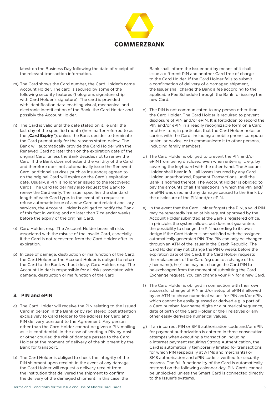

latest on the Business Day following the date of receipt of the relevant transaction information.

- m) The Card shows the Card number, the Card Holder's name. Account Holder. The card is secured by some of the following security features (hologram, signature strip with Card Holder's signature). The card is provided with identification data enabling visual, mechanical and electronic identification of the Bank, the Card Holder and possibly the Account Holder.
- n) The Card is valid until the date stated on it, ie until the last day of the specified month (hereinafter referred to as the "**Card Expiry**"), unless the Bank decides to terminate the Card prematurely for the reasons stated below. The Bank will automatically provide the Card Holder with the Renewed Card no later than on the expiration date of the original Card, unless the Bank decides not to renew the Card. If the Bank does not extend the validity of the Card and therefore does not automatically issue the Renewed Card, additional services (such as insurance) agreed to on the original Card will expire on the Card's expiration date. Usually, a PIN is no longer issued to the Recovered Cards. The Card Holder may also request the Bank to renew the Card early. The issuer specifies the standard length of each Card type. In the event of a request to refuse automatic issue of a new Card and related ancillary services, the Account Holder is obliged to notify the Bank of this fact in writing and no later than 7 calendar weeks before the expiry of the original Card.
- o) Card Holder, resp. The Account Holder bears all risks associated with the misuse of the invalid Card, especially if the Card is not recovered from the Card Holder after its expiration.
- p) In case of damage, destruction or malfunction of the Card, the Card Holder or the Account Holder is obliged to return the Card to the Bank without delay. Card Holder, resp. The Account Holder is responsible for all risks associated with damage, destruction or malfunction of the Card.

# **3. PIN and ePIN**

- a) The Card Holder will receive the PIN relating to the issued Card in person in the Bank or by registered post attention exclusively to Card Holder to the address for Card and PIN delivery pursuant to the Agreement. Any person other than the Card Holder cannot be given a PIN mailing as it is confidential. In the case of sending a PIN by post or other courier, the risk of damage passes to the Card Holder at the moment of delivery of the shipment by the Bank for transport.
- b) The Card Holder is obliged to check the integrity of the PIN shipment upon receipt. In the event of any damage, the Card Holder will request a delivery receipt from the institution that delivered the shipment to confirm the delivery of the damaged shipment. In this case, the

Bank shall inform the Issuer and by means of it shall issue a different PIN and another Card free of charge to the Card Holder. If the Card Holder fails to submit a confirmation of delivery of a damaged shipment, the Issuer shall charge the Bank a fee according to the applicable Fee Schedule through the Bank for issuing the new Card.

- c) The PIN is not communicated to any person other than the Card Holder. The Card Holder is required to prevent disclosure of PIN and/or ePIN. It is forbidden to record the PIN and/or ePIN in a readily recognizable form on a Card or other item, in particular, that the Card Holder holds or carries with the Card, including a mobile phone, computer or similar device, or to communicate it to other persons, including family members.
- d) The Card Holder is obliged to prevent the PIN and/or ePIN from being disclosed even when entering it, e.g. by covering the keyboard with the other hand. The Account Holder shall bear in full all losses incurred by any Card Holder, unauthorized, Payment Transactions, until the Bank is notified thereof. The Account Holder is obliged to pay the amounts of all Transactions in which the PIN and/ or ePIN was used and any damage caused to the Bank by the disclosure of the PIN and/or ePIN.
- e) In the event that the Card Holder forgets the PIN, a valid PIN may be repeatedly issued at his request approved by the Account Holder submitted at the Bank's registered office. In principle, the system allows, but does not guarantee, the possibility to change the PIN according to its own design if the Card Holder is not satisfied with the assigned, automatically generated PIN. The PIN can only be changed through an ATM of the Issuer in the Czech Republic. The Card Holder may not change the PIN 6 weeks before the expiration date of the Card. If the Card Holder requests the replacement of the Card (eg due to a change of his / her name), he / she may not change the Card PIN to be exchanged from the moment of submitting the Card Exchange request. You can change your PIN for a new Card.
- f) The Card Holder is obliged in connection with their own successful change of PIN and/or setup of ePIN if allowed by an ATM to chose numerical values for PIN and/or ePIN which cannot be easily guessed or derived e.g. a part of a Card number, four same digits or a numerical sequence, date of birth of the Card Holder or their relatives or any other easily derivable numerical values.
- g) If an incorrect PIN or SMS authorisation code and/or ePIN for payment authorization is entered in three consecutive attempts when executing a transaction including a internet payment requiring Strong Authentication, the Card is automatically temporarily limited for transactions for which PIN (especially at ATMs and merchants) or SMS authorisation and ePIN code is verified for security reasons. The full functionality of the Card is automatically restored on the following calendar day. PIN Cards cannot be unblocked unless the Smart Card is connected directly to the Issuer's systems.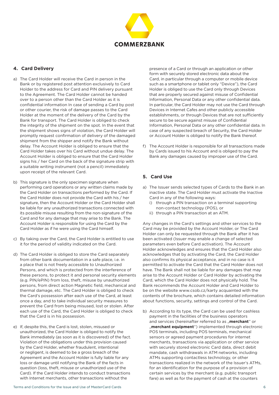

# **4. Card Delivery**

- a) The Card Holder will receive the Card in person in the Bank or by registered post attention exclusively to Card Holder to the address for Card and PIN delivery pursuant to the Agreement. The Card Holder cannot be handed over to a person other than the Card Holder as it is confidential information In case of sending a Card by post or other courier, the risk of damage passes to the Card Holder at the moment of the delivery of the Card by the Bank for transport. The Card Holder is obliged to check the integrity of the shipment on the spot. In the event that the shipment shows signs of violation, the Card Holder will promptly request confirmation of delivery of the damaged shipment from the shipper and notify the Bank without delay. The Account Holder is obliged to ensure that the Card Holder takes over his Card without undue delay. The Account Holder is obliged to ensure that the Card Holder signs his / her Card on the back of the signature strip with a suitable writing instrument (not a pencil) immediately upon receipt of the relevant Card.
- b) This signature is the only specimen signature when performing card operations or any written claims made by the Card Holder on transactions performed by the Card. If the Card Holder does not provide the Card with his / her signature, then the Account Holder or the Card Holder shall be liable for any unauthorized transactions connected with its possible misuse resulting from the non-signature of the Card and for any damage that may arise to the Bank. The Account Holder is responsible for using the Card by the Card Holder as if he were using the Card himself.
- c) By taking over the Card, the Card Holder is entitled to use it for the period of validity indicated on the Card.
- d) The Card Holder is obliged to store the Card separately from other bank documentation in a safe place, i.e. in a place that is not freely accessible to Unauthorized Persons, and which is protected from the interference of these persons, to protect it and personal security elements (e.g. PIN/ePIN) from loss, theft, misuse by unauthorized persons, from direct action Magnetic field, mechanical and thermal damage, etc. The Card Holder is obliged to check the Card's possession after each use of the Card, at least once a day, and to take individual security measures to prevent the Card from being misused, lost or stolen. After each use of the Card, the Card Holder is obliged to check that the Card is in his possession.
- e) If, despite this, the Card is lost, stolen, misused or unauthorized, the Card Holder is obliged to notify the Bank immediately (as soon as it is discovered) of the fact. Violation of the obligations under this provision caused by the Card Holder, whether fraudulent, intentional or negligent, is deemed to be a gross breach of the Agreement and the Account Holder is fully liable for any loss or damage until notifying the Bank of the facts in question (loss, theft, misuse or unauthorized use of the Card). If the Card Holder intends to conduct transactions with Internet merchants, other transactions without the

Terms and Conditions for the Issue and Use of MasterCard Cards 6

presence of a Card or through an application or other form with securely stored electronic data about the Card, in particular through a computer or mobile device such as a smartphone or tablet only "Device"), the Card Holder is obliged to use the Card only through Devices that are properly secured against misuse of Confidential Information, Personal Data or any other confidential data. In particular, the Card Holder may not use the Card through Devices in Internet Cafes and other publicly accessible establishments, or through Devices that are not sufficiently secure to be secure against misuse of Confidential Information, Personal Data or any other confidential data. In case of any suspected breach of Security, the Card Holder or Account Holder is obliged to notify the Bank thereof.

f) The Account Holder is responsible for all transactions made by Cards issued to his Account and is obliged to pay the Bank any damages caused by improper use of the Card.

# **5. Card Use**

- a) The Issuer sends selected types of Cards to the Bank in an inactive state. The Card Holder must activate the Inactive Card in any of the following ways:
	- i) through a PIN transaction on a terminal supporting non-contact technology (POS), or
	- ii) through a PIN transaction at an ATM.

Any changes in the Card's settings and other services to the Card may be provided by the Account Holder, or The Card Holder can only be requested through the Bank after it has been activated (Issuer may enable a change of selected parameters even before Card activation). The Account Holder acknowledges and ensures that the Card Holder also acknowledges that by activating the Card, the Card Holder also confirms its physical acceptance, and in no case is it permitted to activate the Card that the Card Holder does not have. The Bank shall not be liable for any damages that may arise to the Account Holder or Card Holder by activating the Card, which the Card Holder does not physically hold. The Bank recommends the Account Holder and Card Holder to be on the website www.csob.cz/karty acquainted with the contents of the brochure, which contains detailed information about functions, security, settings and control of the Card.

b) According to its type, the Card can be used for cashless payment in the facilities of the business operators and services (hereinafter referred to as "**merchant**" or ..**merchant equipment**") implemented through electronic POS terminals, including POS terminals, mechanical sensors or agreed payment procedures for internet merchants, transactions via application or other service with securely stored electronic Card data, direct debit mandate, cash withdrawals in ATM networks, including ATMs supporting contactless technology, or other transactions realized in the network of the Issuer's ATMs, for an identification for the purpose of a provision of certain services by the merchant (e.g. public transport fare) as well as for the payment of cash at the counters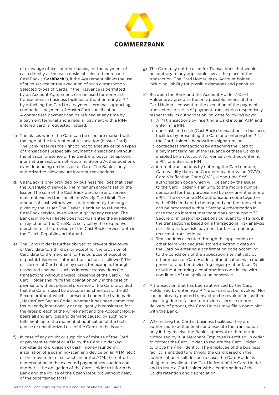

of exchange offices of other banks, for the payment of cash directly at the cash desks of selected merchants. CashBack ("**CashBack**"), if the Agreement allows the use of such service or the execution of such a transaction. Selected types of Cards, if their issuance is permitted by an Account Agreement, can be used for non-cash transactions in business facilities without entering a PIN by attaching the Card to a payment terminal supporting contactless payment of MasterCard specifications. A contactless payment can be refused at any time by a payment terminal and a regular payment with a PINentered card is requested instead.

- c) The places where the Card can be used are marked with the logo of the International Association (MasterCard). The Bank reserves the right to not to execute certain types of transactions (especially payment transactions without the physical presence of the Card, e.g. postal, telephone, internet transactions not requiring Strong Authentication), even depending on the type of Card. The Bank is only authorized to allow secure Internet transactions.
- d) CashBack is only provided by business facilities that bear the "CashBack" service. The minimum amount set by the Issuer. The sum of the CashBack purchase and service must not exceed the specified Weekly Card limit. The amount of cash withdrawn is determined by the range given by the Issuer. The Dealer is entitled to refuse the CashBack service, even without giving any reason. The Bank is in no way liable does not guarantee the availability or rejection of the CashBack service by the respective merchant or the provision of the CashBack service, both in the Czech Republic and abroad
- e) The Card Holder is further obliged to prevent disclosure of Card data to a third party except for the provision of Card data to the merchant for the purpose of execution of postal, telephone, internet transactions (if allowed).The disclosure of Card data may occur, for example, through unsecured channels, such as internet transactions (i.e. transactions without physical presence of the Card). The Card Holder shall fulfil this obligation only in the case of payments without physical presence of the Card provided that the Card is used by a secure merchant using the 3D Secure protocol, which is presented under the trademark ..MasterCard Secure Code". whether it has been committed fraudulently, intentionally or negligently is considered for the gross breach of the Agreement and the Account Holder bears all and any loss and damage caused by such nonfulfilment, up to the moment of notification of the facts (abuse or unauthorized use of the Card) to the Issuer.
- f) In case of any doubt or suspicion of misuse of the Card or payment terminal or ATM by the Card Holder (eg non-standard provision of cash, money laundering, installation of a scanning-scanning device on an ATM, etc.) or the movement of suspects near the ATM, their efforts o Intervention in the executed payment transaction and another is the obligation of the Card Holder to inform the Bank and the Police of the Czech Republic without delay of the ascertained facts.
- g) The Card may not be used for Transactions that would be contrary to any applicable law at the place of the transaction. The Card Holder, resp. Account holder, including liability for possible damages and penalties.
- h) Between the Bank and the Account Holder / Card Holder are agreed as the only possible means of the Card Holder's consent to the execution of the payment transaction, a series of payment transactions respectively, respectively its authorization, only the following ways:
	- i) ATM transactions by inserting a Card into an ATM and entering a PIN,
	- ii) non-cash and cash (CashBack) transactions in business facilities by presenting the Card and entering the PIN, the Card Holder's handwritten signature, or
	- iii) contactless transactions by attaching the Card to a payment terminal (if the issuance of these Cards is enabled by an Account Agreement) without entering a PIN or entering a PIN
	- iv) internet transactions by entering the Card number, Card validity date and Card Verification Value (CVV), Card Verification Code (CVC), a one-time SMS authorisation code which will be sent by the Issuer to the Card Holder via an SMS to the mobile number dedicated for that purpose and by concurrent entering ePIN. The one-time SMS authorisation code together with ePIN need not to be required and the transaction can be processed without Strong Authentication in case that an internet merchant does not support 3D Secure or in case of exceptions pursuant to RTS (e.g. if the transaction is based on a transactional risk analysis classified as low-risk, payment for fare or parking, recurrent transactions).
	- v) Transactions executed through the application or other form with securely stored electronic data on the Card by entering a confirmation code according to the conditions of the application alternatively by other means of Card Holder authentication via a mobile phone or another device (eg finger print or face ID) or without entering a confirmation code in line with conditions of the application or service.
- i) A transaction that has been authorized by the Card Holder (eg by entering a PIN etc.) cannot be revoked. Nor can an already posted transaction be revoked. In justified cases (eg due to failure to provide a service or nondelivery of goods), the Card Holder may file a complaint with the Bank.
- j) When using the Card in business facilities, they are authorized to authenticate and execute the transaction only if they receive the Bank's approval or third parties authorized by it. A Merchant Employee is entitled, in order to protect the Card Holder, to require the Card Holder to prove his / her identity. The employee of the business facility is entitled to withhold the Card based on the authorization result. In such a case, the Card Holder is obliged to invalidate the Card in front of the Card Holder and to issue a Card Holder with a confirmation of the Card's retention and depreciation.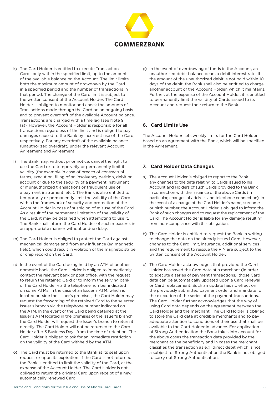

- k) The Card Holder is entitled to execute Transaction Cards only within the specified limit, up to the amount of the available balance on the Account. The limit limits both the maximum amount of drawdown by the Card in a specified period and the number of transactions in that period. The change of the Card limit is subject to the written consent of the Account Holder. The Card Holder is obliged to monitor and check the amounts of Transactions made through the Card on an ongoing basis and to prevent overdraft of the available Account balance. Transactions are charged with a time lag (see Note 9 (a)). However, the Account Holder is responsible for all transactions regardless of the limit and is obliged to pay damages caused to the Bank by incorrect use of the Card, respectively. For any overdraft of the available balance (unauthorized overdraft) under the relevant Account Agreement and Agreement.
- l) The Bank may, without prior notice, cancel the right to use the Card or to temporarily or permanently limit its validity (for example in case of breach of contractual terms, execution, filing of an insolvency petition, debit on account or due to the security of a payment instrument or if unauthorized transactions or fraudulent use of a payment instrument, etc.). The Bank is also entitled to temporarily or permanently limit the validity of the Card within the framework of security and protection of the Account Holder in case of suspicion of misuse of the Card. As a result of the permanent limitation of the validity of the Card, it may be detained when attempting to use it. The Bank shall inform the Card Holder of such measures in an appropriate manner without undue delay.
- m) The Card Holder is obliged to protect the Card against mechanical damage and from any influence (eg magnetic field), which could result in violation of the magnetic stripe or chip record on the Card.
- n) In the event of the Card being held by an ATM of another domestic bank, the Card Holder is obliged to immediately contact the relevant bank or post office, with the request to return the retained Card or to inform the serving bank of the Card Holder via the telephone number indicated on some ATMs. In the case of an Issuer's ATM, which is located outside the Issuer's premises, the Card Holder may request the forwarding of the retained Card to the selected Issuer's branch via the telephone number indicated on the ATM. In the event of the Card being detained at the Issuer's ATM located in the premises of the Issuer's branch, the Card Holder will request the Issuer's branch to return it directly. The Card Holder will not be returned to the Card Holder after 3 Business Days from the time of retention. The Card Holder is obliged to ask for an immediate restriction on the validity of the Card withheld by the ATM.
- o) The Card must be returned to the Bank at its seat upon request or upon its expiration. If the Card is not returned, the Bank is entitled to limit the validity of the Card, at the expense of the Account Holder. The Card Holder is not obliged to return the original Card upon receipt of a new, automatically renewed Card.

p) In the event of overdrawing of funds in the Account, an unauthorized debit balance bears a debit interest rate. If the amount of the unauthorized debit is not paid within 10 days of the debit, the Bank shall also be entitled to charge another account of the Account Holder, which it maintains. Further, at the expense of the Account Holder, it is entitled to permanently limit the validity of Cards issued to its Account and request their return to the Bank.

#### **6. Card Limits Use**

The Account Holder sets weekly limits for the Card Holder based on an agreement with the Bank, which will be specified in the Agreement.

# **7. Card Holder Data Changes**

- a) The Account Holder is obliged to report to the Bank any changes to the data relating to Cards issued to his Account and Holders of such Cards provided to the Bank in connection with the issuance of the above Cards (in particular, changes of address and telephone connection). In the event of a change of the Card Holder's name, surname or birth number, the Account Holder is obliged to inform the Bank of such changes and to request the replacement of the Card. The Account Holder is liable for any damage resulting from non-compliance with this obligation.
- b) The Card Holder is entitled to request the Bank in writing to change the data on the already issued Card. However, changes to the Card limit, insurance, additional services and the requirement to reissue the PIN are subject to the written consent of the Account Holder.
- c) The Card Holder acknowledges that provided the Card Holder has saved the Card data at a merchant (in order to execute a series of payment transactions), those Card data can be automatically updated upon a Card renewal or Card replacement. Such an update has no effect on the previously submitted payment order and mandate for the execution of the series of the payment transactions. The Card Holder further acknowledges that the way of using Card data depends on the agreement between the Card Holder and the merchant. The Card Holder is obliged to store the Card data at credible merchants and to pay adequate attention to conditions of their use that shall be available to the Card Holder in advance. For application of Strong Authentication the Bank takes into account for the above cases the transaction data provided by the merchant as the beneficiary and in cases the merchant classifies the transaction as e.g. direct debit which is not a subject to Strong Authentication the Bank is not obliged to carry out Strong Authentication.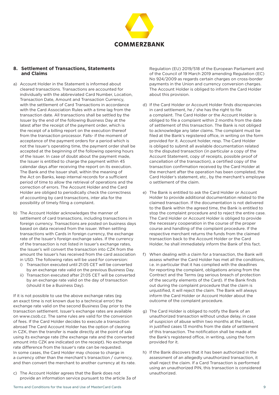

# **8. Settlement of Transactions, Statements and Claims**

- a) Account Holder in the Statement is informed about cleared transactions. Transactions are accounted for individually with the abbreviated Card Number, Location, Transaction Date, Amount and Transaction Currency, with the settlement of Card Transactions in accordance with the Card Association Rules with a time lag from the transaction date. All transactions shall be settled by the Issuer by the end of the following Business Day at the latest after the receipt of the payment order, which is the receipt of a billing report on the execution thereof from the transaction processor. Falls- if the moment of acceptance of the payment orders for a period which is not the Issuer's operating time, the payment order shall be accepted at the beginning of the following opening hours of the Issuer. In case of doubt about the payment made, the Issuer is entitled to charge the payment within 45 calendar days after receiving the report on its execution. The Bank and the Issuer shall, within the meaning of the Act on Banks, keep internal records for a sufficient period of time to allow the retrieval of operations and the correction of errors. The Account Holder and the Card Holder are obliged to periodically check the correctness of accounting by card transactions, inter alia for the possibility of timely filing a complaint.
- b) The Account Holder acknowledges the manner of settlement of card transactions, including transactions in foreign currency. Transactions are posted on business days based on data received from the issuer. When settling transactions with Cards in foreign currency, the exchange rate of the Issuer's foreign exchange sales. If the currency of the transaction is not listed in Issuer's exchange rates, the Issuer's will convert the transaction into CZK from the amount the Issuer's has received from the card association in USD. The following rates will be used for conversion:
	- i) Transaction executed until 21:05 CET will be converted by an exchange rate valid on the previous Business Day.
	- ii) Transaction executed after 21:05 CET will be converted by an exchange rate valid on the day of transaction (should it be a Business Day).

If it is not possible to use the above exchange rates (eg an exact time is not known due to a technical error) the exchange rate valid on the second Business Day prior to the transaction settlement. Issuer's exchange rates are available on www.csob.cz. The same rules are valid for the conversion of fees. If the Card Holder decides to execute a transaction abroad The Card Account Holder has the option of clearing in CZK, then the transfer is made directly at the point of sale using its exchange rate (the exchange rate and the converted amount into CZK are indicated on the receipt). No exchange rate difference from the Issuer's rate can be requested. In some cases, the Card Holder may choose to charge in a currency other than the merchant's transaction / currency, and then convert the merchant to another currency at its rate.

c) The Account Holder agrees that the Bank does not provide an information service pursuant to the article 3a of Regulation (EU) 2019/518 of the European Parliament and of the Council of 19 March 2019 amending Regulation (EC) No 924/2009 as regards certain charges on cross-border payments in the Union and currency conversion charges. The Account Holder is obliged to inform the Card Holder about this provision.

- d) If the Card Holder or Account Holder finds discrepancies in card settlement, he / she has the right to file a complaint. The Card Holder or the Account Holder is obliged to file a complaint within 2 months from the date of settlement of this transaction. The Bank is not obliged to acknowledge any later claims. The complaint must be filed at the Bank's registered office, in writing on the form provided for it. Account holder, resp. The Card Holder is obliged to submit all available documentation related to the disputed transaction (in particular a copy of the Account Statement, copy of receipts, possible proof of cancellation of the transaction), a certified copy of the transaction confirmation received by the Card Holder at the merchant after the operation has been completed, the Card Holder's statement, etc., by the merchant's employee o settlement of the claim.
- e) The Bank is entitled to ask the Card Holder or Account Holder to provide additional documentation related to the claimed transaction. If the documentation is not delivered to the Bank within the agreed time, the Bank is entitled to stop the complaint procedure and to reject the entire case. The Card Holder or Account Holder is obliged to provide the necessary cooperation in the course of the proper course and handling of the complaint procedure. If the respective merchant returns the funds from the claimed transaction back to the Account Holder or the Card Holder, he shall immediately inform the Bank of this fact.
- f) When dealing with a claim for a transaction, the Bank will assess whether the Card Holder has met all the conditions, i.e. in particular that it has complied with the deadlines for reporting the complaint, obligations arising from the Contract and the Terms (eg serious breach of protection of the security elements of the Card). If the Bank finds out during the complaint procedure that the claim is unjustified, it will reject the claim. The Bank will always inform the Card Holder or Account Holder about the outcome of the complaint procedure.
- g) The Card Holder is obliged to notify the Bank of an unauthorized transaction without undue delay, in case of suspicion of abuse within two months at the latest, in justified cases 13 months from the date of settlement of this transaction. The notification shall be made at the Bank's registered office, in writing, using the form provided for it.
- h) If the Bank discovers that it has been authorized in the assessment of an allegedly unauthorized transaction, it shall reject the claim. If a Card Transaction is performed using an unauthorized PIN, this transaction is considered unauthorized.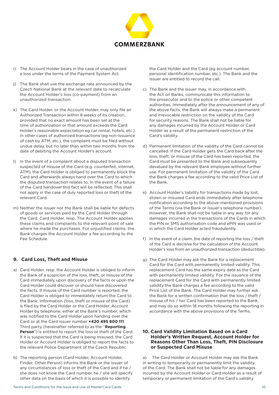

- i) The Account Holder bears in the case of unauthorized a loss under the terms of the Payment System Act.
- j) The Bank shall use the exchange rate announced by the Czech National Bank at the relevant date to recalculate the Account Holder's loss (co-payment) from an unauthorized transaction.
- k) The Card Holder, or the Account Holder, may only file an Authorized Transaction within 8 weeks of its creation, provided that no exact amount has been set at the time of authorization or that amount exceeds the Card Holder's reasonable expectation eg car rental, hotels, etc.). In other cases of authorized transactions (eg non-issuance of cash by ATM, etc.), the complaint must be filed without undue delay, but no later than within two months from the date of debiting the Account Holder's account.
- l) In the event of a complaint about a disputed transaction suspected of misuse of the Card (e.g. counterfeit, internet, ATM), the Card Holder is obliged to permanently block the Card and afterwards always hand over the Card to which the disputed transaction relates to. In the event of a failure of the Card handover this fact will be reflected. This shall not apply in the case of duly reported loss or theft of the relevant Card.
- m) Neither the Issuer nor the Bank shall be liable for defects of goods or services paid by the Card Holder through the Card. Card Holder, resp. The Account Holder applies these claims and complaints to the relevant point of sale where he made the purchases. For unjustified claims, the Bank charges the Account Holder a fee according to the Fee Schedule.

#### **9. Card Loss, Theft and Misuse**

- a) Card Holder, resp. the Account Holder is obliged to inform the Bank of a suspicion of the loss, theft, or misuse of the Card immediately upon discovery of the facts or upon the Card Holder could discover or should have discovered the facts. If misuse of the Card number is reported, the Card Holder is obliged to immediately return the Card to the Bank. Information (loss, theft or misuse of the Card) is filed by the Card Holder or the Card Holder. Account Holder by telephone, either at the Bank's number, which was notified to the Card Holder upon handing over the Card or at the Card Issuer number **+420 495 800 111**. Third party (hereinafter referred to as the "**Reporting Person**") is entitled to report the loss or theft of the Card. If it is suspected that the Card is being misused, the Card Holder or Account Holder is obliged to report the facts to the relevant Police Department of the Czech Republic.
- b) The reporting person (Card Holder, Account Holder, Finder, Other Person) informs the Bank or the Issuer of any circumstances of loss or theft of the Card and if he / she does not know the Card number, he / she will specify other data on the basis of which it is possible to identify

the Card Holder and the Card (eg account number, personal identification number, etc.). The Bank and the Issuer are entitled to record the call.

- c) The Bank and the Issuer may, in accordance with the Act on Banks, communicate this information to the prosecutor and to the police or other competent authorities. Immediately after the announcement of any of the above facts, the Bank will always make a permanent and irrevocable restriction on the validity of the Card for security reasons. The Bank shall not be liable for any damages incurred by the Account Holder or Card Holder as a result of the permanent restriction of the Card's validity.
- d) Permanent limitation of the validity of the Card cannot be cancelled. If the Card Holder gets the Card back after the loss, theft, or misuse of the Card has been reported, the Card must be presented to the Bank and subsequently devalued by the relevant Bank employee without further use. For permanent limitation of the validity of the Card the Bank charges a fee according to the valid Price List of the Bank.
- e) Account Holder's liability for transactions made by lost, stolen or misused Card ends immediately after telephone notification according to the above-mentioned provisions of the Terms (via the Bank or Issuer's telephone number). However, the Bank shall not be liable in any way for any damages incurred in the transactions of the Cards in which the PIN or SMS authorisation code and ePIN was used or in which the Card Holder acted fraudulently.
- f) In the event of a claim, the date of reporting the loss / theft of the Card is decisive for the calculation of the Account Holder's loss from an unauthorized transaction (deductible).
- g) The Card Holder may ask the Bank for a replacement Card for the Card with permanently limited validity. This replacement Card has the same expiry date as the Card with permanently limited validity. For the issuance of the replacement Card for the Card with permanently limited validity the Bank charges a fee according to the valid Price List of the Bank. The Card Holder may further ask the Bank for a written confirmation that the loss / theft / misuse of his / her Card has been reported to the Bank, and may do so within 18 months following the reporting in accordance with the above provisions of the Terms.

#### **10. Card Validity Limitation Based on a Card Holder's Written Request, Account Holder for Reasons Other Than Loss, Theft, PIN Disclosure or Suspected Card Misuse**

a) The Card Holder or Account Holder may ask the Bank in writing to temporarily or permanently limit the validity of the Card. The Bank shall not be liable for any damages incurred by the Account Holder or Card Holder as a result of temporary or permanent limitation of the Card's validity.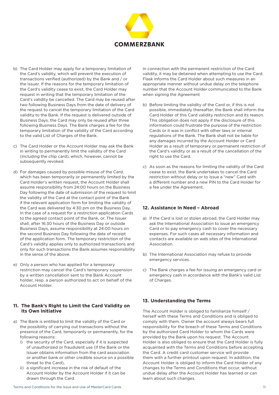

- b) The Card Holder may apply for a temporary limitation of the Card's validity, which will prevent the execution of transactions verified (authorized) by the Bank and / or the Issuer. If the reasons for the temporary limitation of the Card's validity cease to exist, the Card Holder may request in writing that the temporary limitation of the Card's validity be cancelled. The Card may be reused after two following Business Days from the date of delivery of the request to cancel the temporary limitation of the Card validity to the Bank. If the request is delivered outside of Business Days, the Card may only be reused after three following Business Days. The Bank charges a fee for the temporary limitation of the validity of the Card according to the valid List of Charges of the Bank.
- c) The Card Holder or the Account Holder may ask the Bank in writing to permanently limit the validity of the Card (including the chip card), which, however, cannot be subsequently revoked.
- d) For damages caused by possible misuse of the Card, which has been temporarily or permanently limited by the Card Holder's written request, the Account Holder shall assume responsibility from 24:00 hours on the Business Day following the date of submission of the request to limit the validity of the Card at the contact point of the Bank if the relevant application form for limiting the validity of the Card was delivered by 4:30 pm on the Business Day. In the case of a request for a restriction application Cards to the agreed contact point of the Bank, or. The Issuer shall, after 16:30 hours of the Business Day or outside Business Days, assume responsibility at 24:00 hours on the second Business Day following the date of receipt of the application form. The temporary restriction of the Card's validity applies only to authorized transactions and only for such transactions the Bank assumes responsibility in the sense of the above.
- e) Only a person who has applied for a temporary restriction may cancel the Card's temporary suspension by a written cancellation sent to the Bank Account holder, resp. a person authorized to act on behalf of the Account Holder.

#### **11. The Bank's Right to Limit the Card Validity on Its Own Initiative**

- a) The Bank is entitled to limit the validity of the Card or the possibility of carrying out transactions without the presence of the Card, temporarily or permanently, for the following reasons:
	- i) the security of the Card, especially if it is suspected of unauthorized or fraudulent use (if the Bank or the Issuer obtains information from the card association or another bank or other credible source on a possible threat to the Card),
	- ii) a significant increase in the risk of default of the Account Holder by the Account Holder if it can be drawn through the Card.

In connection with the permanent restriction of the Card validity, it may be detained when attempting to use the Card. Flask informs the Card Holder about such measures in an appropriate manner without undue delay on the telephone number that the Account Holder communicated to the Bank when signing the Agreement

- b) Before limiting the validity of the Card or, if this is not possible, immediately thereafter, the Bank shall inform the Card Holder of this Card validity restriction and its reason. This obligation does not apply if the disclosure of this information could frustrate the purpose of the restriction Cards or it was in conflict with other laws or internal regulations of the Bank. The Bank shall not be liable for any damages incurred by the Account Holder or Card Holder as a result of temporary or permanent restriction of the Card's validity or as a result of the cancellation of the right to use the Card.
- c) As soon as the reasons for limiting the validity of the Card cease to exist, the Bank undertakes to cancel the Card restriction without delay or to issue a "new" Card with a different number and a new PIN to the Card Holder for a fee under the Agreement.

# **12. Assistance In Need – Abroad**

- a) If the Card is lost or stolen abroad, the Card Holder may ask the International Association to issue an emergency Card or to pay emergency cash to cover the necessary expenses. For such cases all necessary information and contacts are available on web sites of the International Association.
- b) The International Association may refuse to provide emergency services.
- c) The Bank charges a fee for issuing an emergency card or emergency cash in accordance with the Bank's valid List of Charges.

# **13. Understanding the Terms**

The Account Holder is obliged to familiarize himself / herself with these Terms and Conditions and is obliged to comply with them. Owner the account always bears full responsibility for the breach of these Terms and Conditions by the authorized Card Holder to whom the Cards were provided by the Bank upon his request. The Account Holder is also obliged to ensure that the Card Holder is fully acquainted with the Terms and Conditions before accepting the Card. A credit card customer service will provide them with a further printout upon request. In addition, the Account Holder is obliged to inform the Card Holder of any changes to the Terms and Conditions that occur, without undue delay after the Account Holder has learned or can learn about such changes.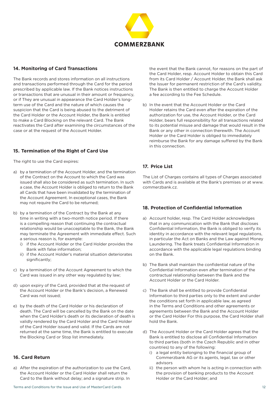

## **14. Monitoring of Card Transactions**

The Bank records and stores information on all instructions and transactions performed through the Card for the period prescribed by applicable law. If the Bank notices instructions or transactions that are unusual in their amount or frequency, or if They are unusual in appearance the Card Holder's longterm use of the Card and the nature of which causes the suspicion that the Card is being abused to the detriment of the Card Holder or the Account Holder, the Bank is entitled to make a Card Blocking on the relevant Card. The Bank reactivates the Card after examining the circumstances of the case or at the request of the Account Holder.

# **15. Termination of the Right of Card Use**

The right to use the Card expires:

- a) by a termination of the Account Holder, and the termination of the Contract on the Account to which the Card was issued shall also be considered as such termination. In such a case, the Account Holder is obliged to return to the Bank all Cards that have been invalidated by the termination of the Account Agreement. In exceptional cases, the Bank may not require the Card to be returned;
- b) by a termination of the Contract by the Bank at any time in writing with a two-month notice period. If there is a compelling reason that continuing the contractual relationship would be unacceptable to the Bank, the Bank may terminate the Agreement with immediate effect. Such a serious reason is, for example:
	- i) if the Account Holder or the Card Holder provides the Bank with false information;
	- ii) if the Account Holder's material situation deteriorates significantly;
- c) by a termination of the Account Agreement to which the Card was issued in any other way regulated by law;
- d) upon expiry of the Card, provided that at the request of the Account Holder or the Bank's decision, a Renewed Card was not issued;
- e) by the death of the Card Holder or his declaration of death. The Card will be cancelled by the Bank on the date when the Card Holder's death or its declaration of death is validly rendered by the Card Holder and the Card Holder of the Card Holder issued and valid. If the Cards are not returned at the same time, the Bank is entitled to execute the Blocking Card or Stop list immediately.

# **16. Card Return**

a) After the expiration of the authorization to use the Card, the Account Holder or the Card Holder shall return the Card to the Bank without delay; and a signature strip. In

the event that the Bank cannot, for reasons on the part of the Card Holder, resp. Account Holder to obtain this Card from its Card Holder / Account Holder, the Bank shall ask the Issuer for permanent restriction of the Card's validity. The Bank is then entitled to charge the Account Holder a fee according to the Fee Schedule.

b) In the event that the Account Holder or the Card Holder retains the Card even after the expiration of the authorization for use, the Account Holder, or the Card Holder, bears full responsibility for all transactions related to its potential misuse and damage that would result in the Bank or any other in connection therewith. The Account Holder or the Card Holder is obliged to immediately reimburse the Bank for any damage suffered by the Bank in this connection.

# **17. Price List**

The List of Charges contains all types of Charges associated with Cards and is available at the Bank's premises or at www. commerzbank.cz.

# **18. Protection of Confidential Information**

- a) Account holder, resp. The Card Holder acknowledges that in any communication with the Bank that discloses Confidential Information, the Bank is obliged to verify its identity in accordance with the relevant legal regulations, in particular the Act on Banks and the Law against Money Laundering. The Bank treats Confidential Information in accordance with the applicable legal regulations binding on the Bank.
- b) The Bank shall maintain the confidential nature of the Confidential Information even after termination of the contractual relationship between the Bank and the Account Holder or the Card Holder.
- c) The Bank shall be entitled to provide Confidential Information to third parties only to the extent and under the conditions set forth in applicable law, as agreed in the Terms and Conditions and other agreements or agreements between the Bank and the Account Holder or the Card Holder For this purpose, the Card Holder shall hold the Bank.
- d) The Account Holder or the Card Holder agrees that the Bank is entitled to disclose all Confidential Information to third parties (both in the Czech Republic and in other countries) to any of the following:
	- i) a legal entity belonging to the financial group of Commerzbank AG or its agents, legal, tax or other advisors
	- ii) the person with whom he is acting in connection with the provision of banking products to the Account Holder or the Card Holder; and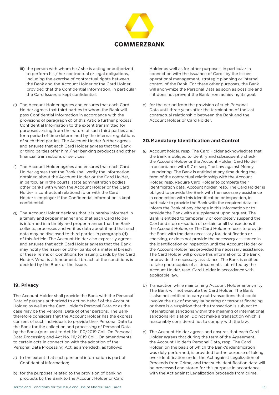

- iii) the person with whom he / she is acting or authorized to perform his / her contractual or legal obligations, including the exercise of contractual rights between the Bank and the Account Holder or the Card Holder, provided that the Confidential Information, in particular the Card Issuer, is kept confidential.
- e) The Account Holder agrees and ensures that each Card Holder agrees that third parties to whom the Bank will pass Confidential Information in accordance with the provisions of paragraph d) of this Article further process Confidential Information to the extent transmitted for purposes arising from the nature of such third parties and for a period of time determined by the internal regulations of such third parties. The Account Holder further agrees and ensures that each Card Holder agrees that the Bank or third parties offer him / her banking products and other financial transactions or services.
- f) The Account Holder agrees and ensures that each Card Holder agrees that the Bank shall verify the information obtained about the Account Holder or the Card Holder, in particular in the courts, state administration bodies, other banks with which the Account Holder or the Card Holder is contractual relationship or with the Card Holder's employer if the Confidential Information is kept confidential.
- g) The Account Holder declares that it is hereby informed in a timely and proper manner and that each Card Holder is informed in a timely and proper manner that the Bank collects, processes and verifies data about it and that such data may be disclosed to third parties in paragraph (d) of this Article. The Account Holder also expressly agrees and ensures that each Card Holder agrees that the Bank may notify the Issuer or other banks of a material breach of these Terms or Conditions for issuing Cards by the Card Holder. What is a fundamental breach of the conditions is decided by the Bank or the Issuer.

#### **19. Privacy**

The Account Holder shall provide the Bank with the Personal Data of persons authorized to act on behalf of the Account Holder, as well as the Card Holder's Personal Data or as the case may be the Personal Data of other persons. The Bank therefore considers that the Account Holder has the express consent of such individuals to provide their Personal Data to the Bank for the collection and processing of Personal Data by the Bank (pursuant to Act No. 110/2019 Coll. On Personal Data Processing and Act No. 111/2019 Coll., On amendments to certain acts in connection with the adoption of the Personal Data Processing Act, as amended), as follows:

- a) to the extent that such personal information is part of Confidential Information;
- b) for the purposes related to the provision of banking products by the Bank to the Account Holder or Card

Terms and Conditions for the Issue and Use of MasterCard Cards 13

Holder as well as for other purposes, in particular in connection with the issuance of Cards by the Issuer, operational management, strategic planning or internal control of the Bank. For these other purposes, the Bank will anonymize the Personal Data as soon as possible and if it does not prevent the Bank from achieving its goal,

c) for the period from the provision of such Personal Data until three years after the termination of the last contractual relationship between the Bank and the Account Holder or Card Holder.

#### **20.Mandatory Identification and Control**

- a) Account holder, resp. The Card Holder acknowledges that the Bank is obliged to identify and subsequently check the Account Holder or the Account Holder. Card Holder in accordance with § 7 et seq. The Law against Money Laundering. The Bank is entitled at any time during the term of the contractual relationship with the Account Holder, resp. Require Card Holder to complete their identification data. Account holder, resp. The Card Holder is obliged to provide the Bank with the necessary assistance in connection with this identification or inspection, in particular to provide the Bank with the required data, to inform the Bank of any change in this information or to provide the Bank with a supplement upon request. The Bank is entitled to temporarily or completely suspend the Card and stop execution of certain or all transactions if the Account Holder, or The Card Holder refuses to provide the Bank with the data necessary for identification or checking, or does not provide the necessary assistance in the identification or inspection until the Account Holder or the Account Holder has provided the necessary assistance. The Card Holder will provide this information to the Bank or provide the necessary assistance. The Bank is entitled to take photocopies of all documents submitted by the Account Holder, resp. Card Holder in accordance with applicable law.
- b) Transaction while maintaining Account Holder anonymity The Bank will not execute the Card Holder. The Bank is also not entitled to carry out transactions that could involve the risk of money laundering or terrorist financing or there is a suspicion that the transaction is subject to international sanctions within the meaning of international sanctions legislation. Do not make a transaction which is reasonably considered not to comply with the law.
- c) The Account Holder agrees and ensures that each Card Holder agrees that during the term of the Agreement, the Account Holder's Personal Data, resp. The Card Holder, on the basis of which the Bank's identification was duly performed, is provided for the purpose of taking over identification under the Act against Legalization of Proceeds from Crime, and that such identification data will be processed and stored for this purpose in accordance with the Act against Legalization proceeds from crime.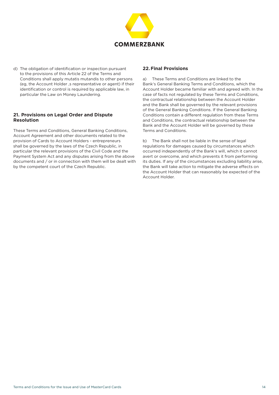

d) The obligation of identification or inspection pursuant to the provisions of this Article 22 of the Terms and Conditions shall apply mutatis mutandis to other persons (eg, the Account Holder, s representative or agent) if their identification or control is required by applicable law, in particular the Law on Money Laundering.

# **21. Provisions on Legal Order and Dispute Resolution**

These Terms and Conditions, General Banking Conditions, Account Agreement and other documents related to the provision of Cards to Account Holders - entrepreneurs shall be governed by the laws of the Czech Republic, in particular the relevant provisions of the Civil Code and the Payment System Act and any disputes arising from the above documents and / or in connection with them will be dealt with by the competent court of the Czech Republic.

# **22.Final Provisions**

a) These Terms and Conditions are linked to the Bank's General Banking Terms and Conditions, which the Account Holder became familiar with and agreed with. In the case of facts not regulated by these Terms and Conditions, the contractual relationship between the Account Holder and the Bank shall be governed by the relevant provisions of the General Banking Conditions. If the General Banking Conditions contain a different regulation from these Terms and Conditions, the contractual relationship between the Bank and the Account Holder will be governed by these Terms and Conditions.

b) The Bank shall not be liable in the sense of legal regulations for damages caused by circumstances which occurred independently of the Bank's will, which it cannot avert or overcome, and which prevents it from performing its duties. If any of the circumstances excluding liability arise, the Bank will take action to mitigate the adverse effects on the Account Holder that can reasonably be expected of the Account Holder.